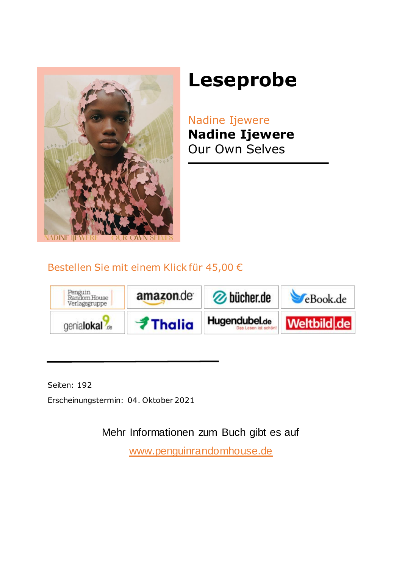

# **Leseprobe**

Nadine Ijewere **Nadine Ijewere** Our Own Selves

### Bestellen Sie mit einem Klick für 45,00 €



Seiten: 192

Erscheinungstermin: 04. Oktober 2021

Mehr Informationen zum Buch gibt es auf

<www.penguinrandomhouse.de>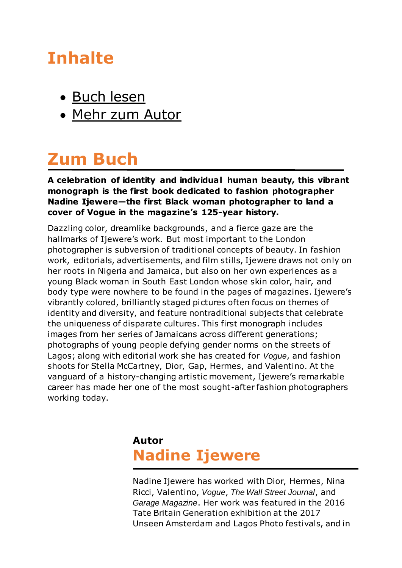## **Inhalte**

- [Buch lesen](#page-3-0)
- [Mehr zum Autor](#page-1-0)

## **Zum Buch**

#### **A celebration of identity and individual human beauty, this vibrant monograph is the first book dedicated to fashion photographer Nadine Ijewere—the first Black woman photographer to land a cover of Vogue in the magazine's 125-year history.**

Dazzling color, dreamlike backgrounds, and a fierce gaze are the hallmarks of Ijewere's work. But most important to the London photographer is subversion of traditional concepts of beauty. In fashion work, editorials, advertisements, and film stills, Ijewere draws not only on her roots in Nigeria and Jamaica, but also on her own experiences as a young Black woman in South East London whose skin color, hair, and body type were nowhere to be found in the pages of magazines. Ijewere's vibrantly colored, brilliantly staged pictures often focus on themes of identity and diversity, and feature nontraditional subjects that celebrate the uniqueness of disparate cultures. This first monograph includes images from her series of Jamaicans across different generations; photographs of young people defying gender norms on the streets of Lagos; along with editorial work she has created for *Vogue*, and fashion shoots for Stella McCartney, Dior, Gap, Hermes, and Valentino. At the vanguard of a history-changing artistic movement, Ijewere's remarkable career has made her one of the most sought-after fashion photographers working today.

## <span id="page-1-0"></span>**Autor Nadine Ijewere**

Nadine Ijewere has worked with Dior, Hermes, Nina Ricci, Valentino, *Vogue*, *The Wall Street Journal*, and *Garage Magazine*. Her work was featured in the 2016 Tate Britain Generation exhibition at the 2017 Unseen Amsterdam and Lagos Photo festivals, and in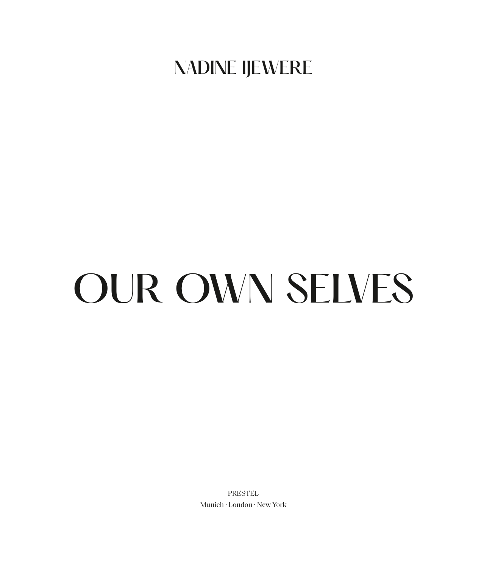## NADINE IJEWERE

# OUR OWN SELVES

**PRESTEL** Munich · London · New York